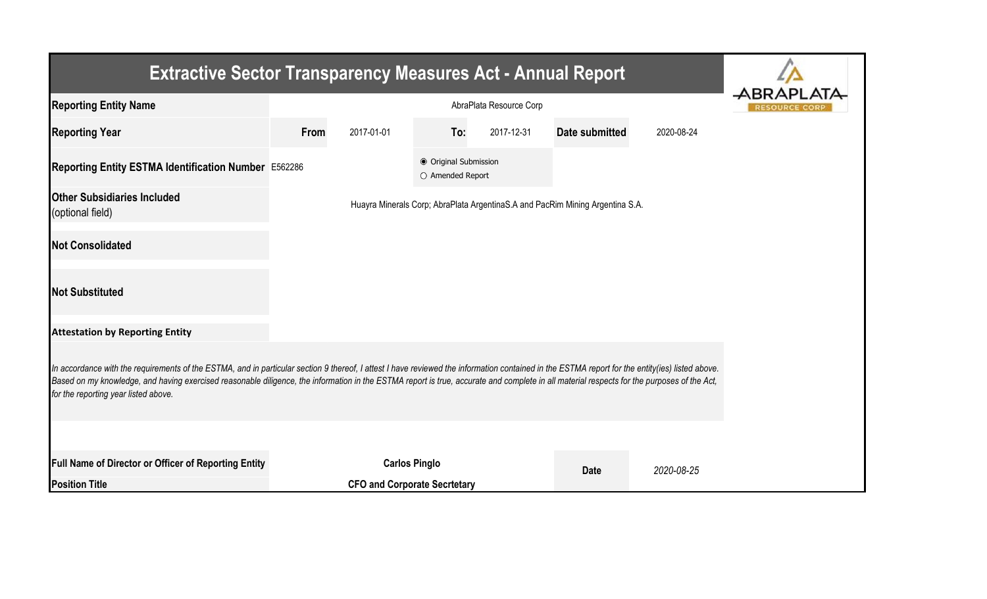| <b>Extractive Sector Transparency Measures Act - Annual Report</b>                                                                                                                                                                                                                                                                                                                                                                    |                         |                                     |                                           |            |                                                                               |            |  |  |
|---------------------------------------------------------------------------------------------------------------------------------------------------------------------------------------------------------------------------------------------------------------------------------------------------------------------------------------------------------------------------------------------------------------------------------------|-------------------------|-------------------------------------|-------------------------------------------|------------|-------------------------------------------------------------------------------|------------|--|--|
| <b>Reporting Entity Name</b>                                                                                                                                                                                                                                                                                                                                                                                                          | AbraPlata Resource Corp |                                     |                                           |            |                                                                               |            |  |  |
| <b>Reporting Year</b>                                                                                                                                                                                                                                                                                                                                                                                                                 | From                    | 2017-01-01                          | To:                                       | 2017-12-31 | Date submitted                                                                | 2020-08-24 |  |  |
| Reporting Entity ESTMA Identification Number E562286                                                                                                                                                                                                                                                                                                                                                                                  |                         |                                     | ● Original Submission<br>O Amended Report |            |                                                                               |            |  |  |
| <b>Other Subsidiaries Included</b><br>(optional field)                                                                                                                                                                                                                                                                                                                                                                                |                         |                                     |                                           |            | Huayra Minerals Corp; AbraPlata ArgentinaS.A and PacRim Mining Argentina S.A. |            |  |  |
| <b>Not Consolidated</b>                                                                                                                                                                                                                                                                                                                                                                                                               |                         |                                     |                                           |            |                                                                               |            |  |  |
| <b>Not Substituted</b>                                                                                                                                                                                                                                                                                                                                                                                                                |                         |                                     |                                           |            |                                                                               |            |  |  |
| <b>Attestation by Reporting Entity</b>                                                                                                                                                                                                                                                                                                                                                                                                |                         |                                     |                                           |            |                                                                               |            |  |  |
| In accordance with the requirements of the ESTMA, and in particular section 9 thereof, I attest I have reviewed the information contained in the ESTMA report for the entity(ies) listed above.<br>Based on my knowledge, and having exercised reasonable diligence, the information in the ESTMA report is true, accurate and complete in all material respects for the purposes of the Act,<br>for the reporting year listed above. |                         |                                     |                                           |            |                                                                               |            |  |  |
|                                                                                                                                                                                                                                                                                                                                                                                                                                       |                         |                                     |                                           |            |                                                                               |            |  |  |
| Full Name of Director or Officer of Reporting Entity                                                                                                                                                                                                                                                                                                                                                                                  |                         | <b>Carlos Pinglo</b>                |                                           |            | <b>Date</b>                                                                   | 2020-08-25 |  |  |
| <b>Position Title</b>                                                                                                                                                                                                                                                                                                                                                                                                                 |                         | <b>CFO and Corporate Secrtetary</b> |                                           |            |                                                                               |            |  |  |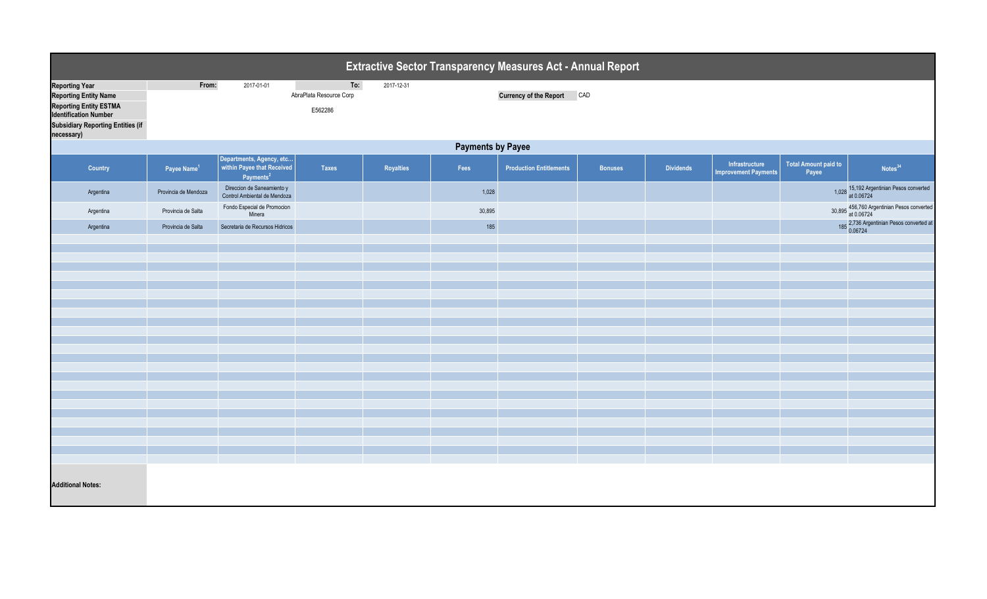| <b>Extractive Sector Transparency Measures Act - Annual Report</b>                                                                                                               |                          |                                                                                 |                                           |            |        |                                |                |                  |                                               |                               |                                                          |  |  |
|----------------------------------------------------------------------------------------------------------------------------------------------------------------------------------|--------------------------|---------------------------------------------------------------------------------|-------------------------------------------|------------|--------|--------------------------------|----------------|------------------|-----------------------------------------------|-------------------------------|----------------------------------------------------------|--|--|
| <b>Reporting Year</b><br><b>Reporting Entity Name</b><br><b>Reporting Entity ESTMA</b><br><b>Identification Number</b><br><b>Subsidiary Reporting Entities (if</b><br>necessary) | From:                    | 2017-01-01                                                                      | To:<br>AbraPlata Resource Corp<br>E562286 | 2017-12-31 |        | Currency of the Report CAD     |                |                  |                                               |                               |                                                          |  |  |
|                                                                                                                                                                                  | <b>Payments by Payee</b> |                                                                                 |                                           |            |        |                                |                |                  |                                               |                               |                                                          |  |  |
| Country                                                                                                                                                                          | Payee Name <sup>1</sup>  | Departments, Agency, etc<br>within Payee that Received<br>Payments <sup>2</sup> | <b>Taxes</b>                              | Royalties  | Fees   | <b>Production Entitlements</b> | <b>Bonuses</b> | <b>Dividends</b> | Infrastructure<br><b>Improvement Payments</b> | Total Amount paid to<br>Payee | Notes <sup>34</sup>                                      |  |  |
| Argentina                                                                                                                                                                        | Provincia de Mendoza     | Direccion de Saneamiento y<br>Control Ambiental de Mendoza                      |                                           |            | 1,028  |                                |                |                  |                                               |                               | 1,028 15,192 Argentinian Pesos converted<br>at 0.06724   |  |  |
| Argentina                                                                                                                                                                        | Provincia de Salta       | Fondo Especial de Promocion<br>Minera                                           |                                           |            | 30,895 |                                |                |                  |                                               |                               | 30,895 456,760 Argentinian Pesos converted<br>at 0.06724 |  |  |
| Argentina                                                                                                                                                                        | Provincia de Salta       | Secretaria de Recursos Hidricos                                                 |                                           |            | 185    |                                |                |                  |                                               |                               | 185 2,736 Argentinian Pesos converted at<br>0.06724      |  |  |
|                                                                                                                                                                                  |                          |                                                                                 |                                           |            |        |                                |                |                  |                                               |                               |                                                          |  |  |
|                                                                                                                                                                                  |                          |                                                                                 |                                           |            |        |                                |                |                  |                                               |                               |                                                          |  |  |
|                                                                                                                                                                                  |                          |                                                                                 |                                           |            |        |                                |                |                  |                                               |                               |                                                          |  |  |
|                                                                                                                                                                                  |                          |                                                                                 |                                           |            |        |                                |                |                  |                                               |                               |                                                          |  |  |
|                                                                                                                                                                                  |                          |                                                                                 |                                           |            |        |                                |                |                  |                                               |                               |                                                          |  |  |
|                                                                                                                                                                                  |                          |                                                                                 |                                           |            |        |                                |                |                  |                                               |                               |                                                          |  |  |
|                                                                                                                                                                                  |                          |                                                                                 |                                           |            |        |                                |                |                  |                                               |                               |                                                          |  |  |
|                                                                                                                                                                                  |                          |                                                                                 |                                           |            |        |                                |                |                  |                                               |                               |                                                          |  |  |
|                                                                                                                                                                                  |                          |                                                                                 |                                           |            |        |                                |                |                  |                                               |                               |                                                          |  |  |
|                                                                                                                                                                                  |                          |                                                                                 |                                           |            |        |                                |                |                  |                                               |                               |                                                          |  |  |
|                                                                                                                                                                                  |                          |                                                                                 |                                           |            |        |                                |                |                  |                                               |                               |                                                          |  |  |
|                                                                                                                                                                                  |                          |                                                                                 |                                           |            |        |                                |                |                  |                                               |                               |                                                          |  |  |
|                                                                                                                                                                                  |                          |                                                                                 |                                           |            |        |                                |                |                  |                                               |                               |                                                          |  |  |
|                                                                                                                                                                                  |                          |                                                                                 |                                           |            |        |                                |                |                  |                                               |                               |                                                          |  |  |
| <b>Additional Notes:</b>                                                                                                                                                         |                          |                                                                                 |                                           |            |        |                                |                |                  |                                               |                               |                                                          |  |  |